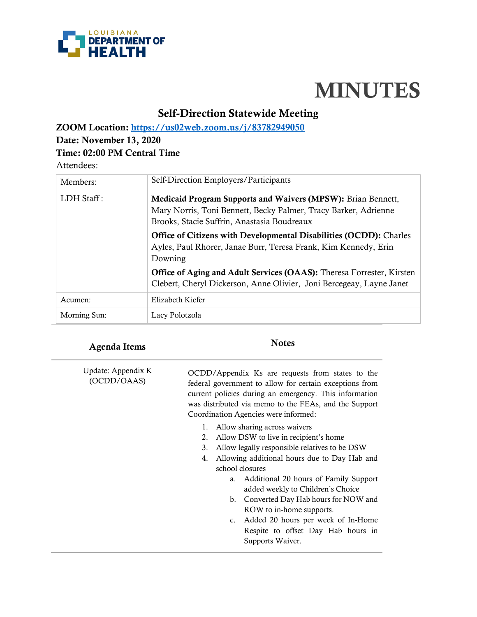

# **MINUTES**

# **Self-Direction Statewide Meeting**

**ZOOM Location:<https://us02web.zoom.us/j/83782949050>**

### **Date: November 13, 2020**

## **Time: 02:00 PM Central Time**

### Attendees:

| Members:      | Self-Direction Employers/Participants                                                                                                                                          |
|---------------|--------------------------------------------------------------------------------------------------------------------------------------------------------------------------------|
| $LDH$ Staff : | Medicaid Program Supports and Waivers (MPSW): Brian Bennett,<br>Mary Norris, Toni Bennett, Becky Palmer, Tracy Barker, Adrienne<br>Brooks, Stacie Suffrin, Anastasia Boudreaux |
|               | <b>Office of Citizens with Developmental Disabilities (OCDD):</b> Charles<br>Ayles, Paul Rhorer, Janae Burr, Teresa Frank, Kim Kennedy, Erin<br>Downing                        |
|               | <b>Office of Aging and Adult Services (OAAS):</b> Theresa Forrester, Kirsten<br>Clebert, Cheryl Dickerson, Anne Olivier, Joni Bercegeay, Layne Janet                           |
| Acumen:       | Elizabeth Kiefer                                                                                                                                                               |
| Morning Sun:  | Lacy Polotzola                                                                                                                                                                 |

# **Agenda Items Notes**

| Update: Appendix K<br>(OCDD/OAAS) |    | OCDD/Appendix Ks are requests from states to the<br>federal government to allow for certain exceptions from<br>current policies during an emergency. This information<br>was distributed via memo to the FEAs, and the Support<br>Coordination Agencies were informed: |
|-----------------------------------|----|------------------------------------------------------------------------------------------------------------------------------------------------------------------------------------------------------------------------------------------------------------------------|
|                                   |    | Allow sharing across waivers                                                                                                                                                                                                                                           |
|                                   | 2. | Allow DSW to live in recipient's home                                                                                                                                                                                                                                  |
|                                   | 3. | Allow legally responsible relatives to be DSW                                                                                                                                                                                                                          |
|                                   | 4. | Allowing additional hours due to Day Hab and                                                                                                                                                                                                                           |
|                                   |    | school closures                                                                                                                                                                                                                                                        |
|                                   |    | Additional 20 hours of Family Support<br>a.                                                                                                                                                                                                                            |
|                                   |    | added weekly to Children's Choice                                                                                                                                                                                                                                      |
|                                   |    | Converted Day Hab hours for NOW and<br>b.                                                                                                                                                                                                                              |
|                                   |    | ROW to in-home supports.                                                                                                                                                                                                                                               |
|                                   |    | Added 20 hours per week of In-Home<br>$c_{\cdot}$                                                                                                                                                                                                                      |
|                                   |    | Respite to offset Day Hab hours in                                                                                                                                                                                                                                     |
|                                   |    | Supports Waiver.                                                                                                                                                                                                                                                       |
|                                   |    |                                                                                                                                                                                                                                                                        |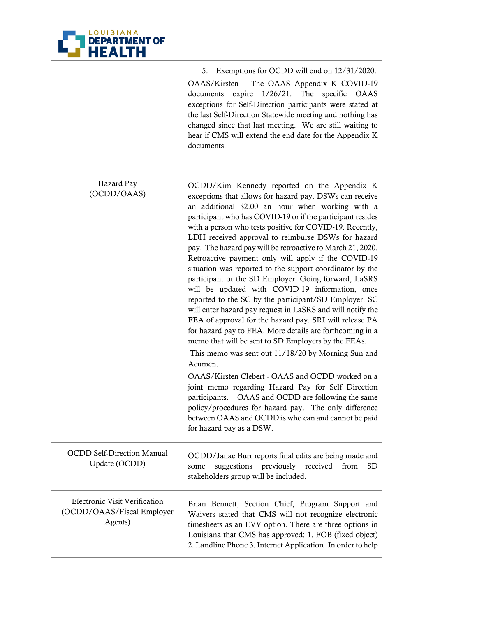

 $\overline{\phantom{a}}$ 

5. Exemptions for OCDD will end on 12/31/2020.

OAAS/Kirsten – The OAAS Appendix K COVID-19 documents expire 1/26/21. The specific OAAS exceptions for Self-Direction participants were stated at the last Self-Direction Statewide meeting and nothing has changed since that last meeting. We are still waiting to hear if CMS will extend the end date for the Appendix K documents.

| Hazard Pay<br>(OCDD/OAAS)                                              | OCDD/Kim Kennedy reported on the Appendix K<br>exceptions that allows for hazard pay. DSWs can receive<br>an additional \$2.00 an hour when working with a<br>participant who has COVID-19 or if the participant resides<br>with a person who tests positive for COVID-19. Recently,<br>LDH received approval to reimburse DSWs for hazard<br>pay. The hazard pay will be retroactive to March 21, 2020.<br>Retroactive payment only will apply if the COVID-19<br>situation was reported to the support coordinator by the<br>participant or the SD Employer. Going forward, LaSRS<br>will be updated with COVID-19 information, once<br>reported to the SC by the participant/SD Employer. SC<br>will enter hazard pay request in LaSRS and will notify the<br>FEA of approval for the hazard pay. SRI will release PA<br>for hazard pay to FEA. More details are forthcoming in a<br>memo that will be sent to SD Employers by the FEAs.<br>This memo was sent out 11/18/20 by Morning Sun and<br>Acumen. |
|------------------------------------------------------------------------|--------------------------------------------------------------------------------------------------------------------------------------------------------------------------------------------------------------------------------------------------------------------------------------------------------------------------------------------------------------------------------------------------------------------------------------------------------------------------------------------------------------------------------------------------------------------------------------------------------------------------------------------------------------------------------------------------------------------------------------------------------------------------------------------------------------------------------------------------------------------------------------------------------------------------------------------------------------------------------------------------------------|
|                                                                        | OAAS/Kirsten Clebert - OAAS and OCDD worked on a<br>joint memo regarding Hazard Pay for Self Direction<br>OAAS and OCDD are following the same<br>participants.<br>policy/procedures for hazard pay. The only difference<br>between OAAS and OCDD is who can and cannot be paid<br>for hazard pay as a DSW.                                                                                                                                                                                                                                                                                                                                                                                                                                                                                                                                                                                                                                                                                                  |
| <b>OCDD Self-Direction Manual</b><br>Update (OCDD)                     | OCDD/Janae Burr reports final edits are being made and<br>suggestions previously received<br>from<br>some<br>SD<br>stakeholders group will be included.                                                                                                                                                                                                                                                                                                                                                                                                                                                                                                                                                                                                                                                                                                                                                                                                                                                      |
| Electronic Visit Verification<br>(OCDD/OAAS/Fiscal Employer<br>Agents) | Brian Bennett, Section Chief, Program Support and<br>Waivers stated that CMS will not recognize electronic<br>timesheets as an EVV option. There are three options in<br>Louisiana that CMS has approved: 1. FOB (fixed object)<br>2. Landline Phone 3. Internet Application In order to help                                                                                                                                                                                                                                                                                                                                                                                                                                                                                                                                                                                                                                                                                                                |